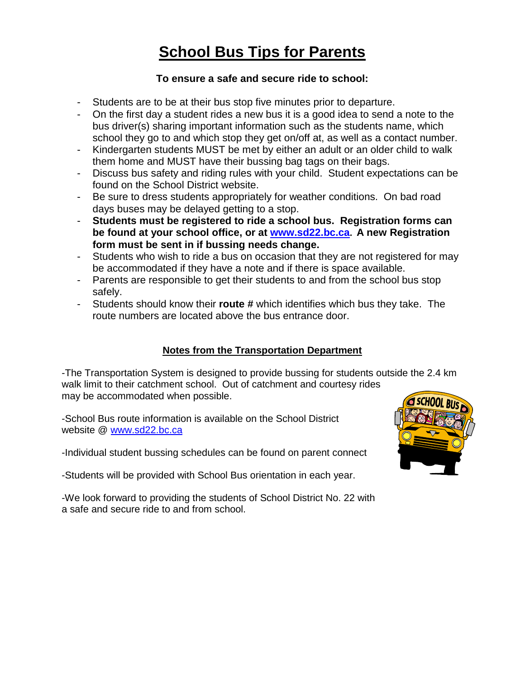## **School Bus Tips for Parents**

## **To ensure a safe and secure ride to school:**

- Students are to be at their bus stop five minutes prior to departure.
- On the first day a student rides a new bus it is a good idea to send a note to the bus driver(s) sharing important information such as the students name, which school they go to and which stop they get on/off at, as well as a contact number.
- Kindergarten students MUST be met by either an adult or an older child to walk them home and MUST have their bussing bag tags on their bags.
- Discuss bus safety and riding rules with your child. Student expectations can be found on the School District website.
- Be sure to dress students appropriately for weather conditions. On bad road days buses may be delayed getting to a stop.
- **Students must be registered to ride a school bus. Registration forms can be found at your school office, or at [www.sd22.bc.ca](http://www.sd22.bc.ca/). A new Registration form must be sent in if bussing needs change.**
- Students who wish to ride a bus on occasion that they are not registered for may be accommodated if they have a note and if there is space available.
- Parents are responsible to get their students to and from the school bus stop safely.
- Students should know their **route #** which identifies which bus they take. The route numbers are located above the bus entrance door.

## **Notes from the Transportation Department**

-The Transportation System is designed to provide bussing for students outside the 2.4 km walk limit to their catchment school. Out of catchment and courtesy rides may be accommodated when possible.

-School Bus route information is available on the School District website @ [www.sd22.bc.ca](http://www.sd22.bc.ca/)

-Individual student bussing schedules can be found on parent connect

-Students will be provided with School Bus orientation in each year.

-We look forward to providing the students of School District No. 22 with a safe and secure ride to and from school.